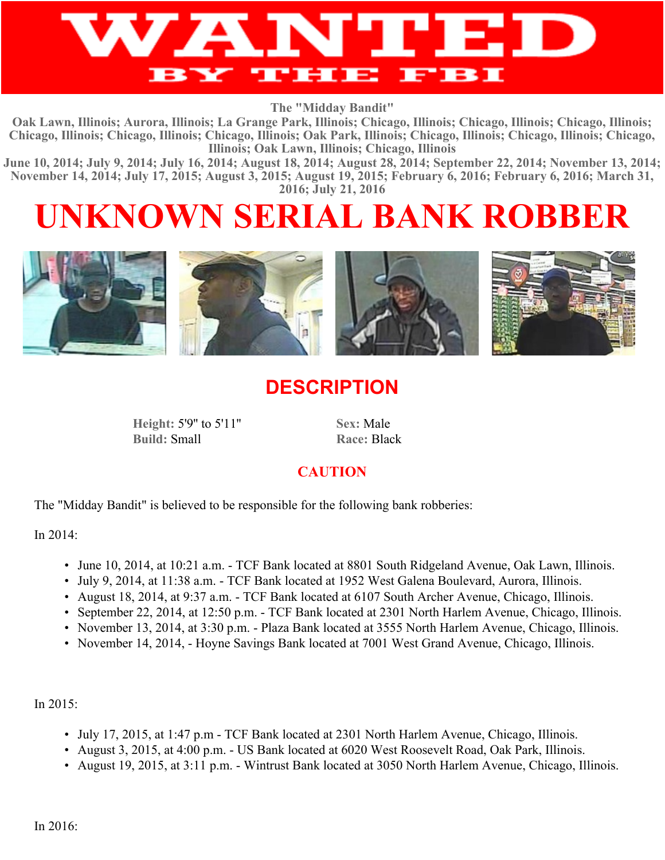

**The "Midday Bandit"**

**Oak Lawn, Illinois; Aurora, Illinois; La Grange Park, Illinois; Chicago, Illinois; Chicago, Illinois; Chicago, Illinois; Chicago, Illinois; Chicago, Illinois; Chicago, Illinois; Oak Park, Illinois; Chicago, Illinois; Chicago, Illinois; Chicago, Illinois; Oak Lawn, Illinois; Chicago, Illinois**

**June 10, 2014; July 9, 2014; July 16, 2014; August 18, 2014; August 28, 2014; September 22, 2014; November 13, 2014; November 14, 2014; July 17, 2015; August 3, 2015; August 19, 2015; February 6, 2016; February 6, 2016; March 31, 2016; July 21, 2016**

# **UNKNOWN SERIAL BANK ROBBER**



## **DESCRIPTION**

**Height:** 5'9'' to 5'11'' **Sex:** Male **Build:** Small **Race:** Black

### **CAUTION**

The "Midday Bandit" is believed to be responsible for the following bank robberies:

In 2014:

- June 10, 2014, at 10:21 a.m. TCF Bank located at 8801 South Ridgeland Avenue, Oak Lawn, Illinois.
- July 9, 2014, at 11:38 a.m. TCF Bank located at 1952 West Galena Boulevard, Aurora, Illinois.
- August 18, 2014, at 9:37 a.m. TCF Bank located at 6107 South Archer Avenue, Chicago, Illinois.
- September 22, 2014, at 12:50 p.m. TCF Bank located at 2301 North Harlem Avenue, Chicago, Illinois.
- November 13, 2014, at 3:30 p.m. Plaza Bank located at 3555 North Harlem Avenue, Chicago, Illinois.
- November 14, 2014, Hoyne Savings Bank located at 7001 West Grand Avenue, Chicago, Illinois.

In 2015:

- July 17, 2015, at 1:47 p.m TCF Bank located at 2301 North Harlem Avenue, Chicago, Illinois.
- August 3, 2015, at 4:00 p.m. US Bank located at 6020 West Roosevelt Road, Oak Park, Illinois.
- August 19, 2015, at 3:11 p.m. Wintrust Bank located at 3050 North Harlem Avenue, Chicago, Illinois.